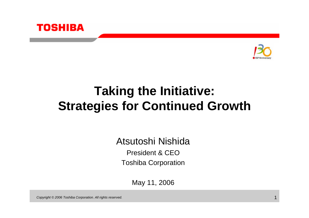



# **Taking the Initiative: Strategies for Continued Growth**

Atsutoshi NishidaPresident & CEOToshiba Corporation

May 11, 2006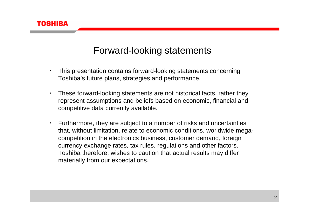

### Forward-looking statements

- ・ This presentation contains forward-looking statements concerning Toshiba's future plans, strategies and performance.
- ・ These forward-looking statements are not historical facts, rather they represent assumptions and beliefs based on economic, financial and competitive data currently available.
- ・ Furthermore, they are subject to a number of risks and uncertainties that, without limitation, relate to economic conditions, worldwide megacompetition in the electronics business, customer demand, foreign currency exchange rates, tax rules, regulations and other factors. Toshiba therefore, wishes to caution that actual results may differ materially from our expectations.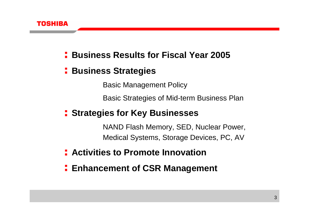

- **Business Results for Fiscal Year 2005**
- **E** Business Strategies

Basic Management Policy

Basic Strategies of Mid-term Business Plan

**Fig. 3 Strategies for Key Businesses** 

NAND Flash Memory, SED, Nuclear Power, Medical Systems, Storage Devices, PC, AV

- **Activities to Promote Innovation**
- **Enhancement of CSR Management**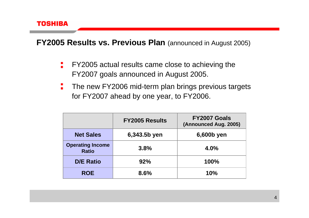

**FY2005 Results vs. Previous Plan** (announced in August 2005)

- FY2005 actual results came close to achieving the FY2007 goals announced in August 2005.
- ÷ The new FY2006 mid-term plan brings previous targets for FY2007 ahead by one year, to FY2006.

|                                         | <b>FY2005 Results</b> | FY2007 Goals<br>(Announced Aug. 2005) |
|-----------------------------------------|-----------------------|---------------------------------------|
| <b>Net Sales</b>                        | 6,343.5b yen          | 6,600b yen                            |
| <b>Operating Income</b><br><b>Ratio</b> | 3.8%                  | 4.0%                                  |
| <b>D/E Ratio</b>                        | 92%                   | 100%                                  |
| <b>ROE</b>                              | 8.6%                  | 10%                                   |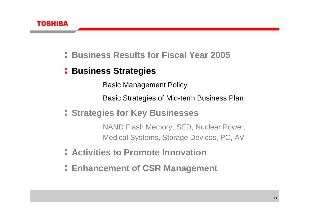

### **Business Results for Fiscal Year 2005**

### **E** Business Strategies

Basic Management Policy

Basic Strategies of Mid-term Business Plan

**Strategies for Key Businesses**

NAND Flash Memory, SED, Nuclear Power, Medical Systems, Storage Devices, PC, AV

- **Activities to Promote Innovation**
- **Enhancement of CSR Management**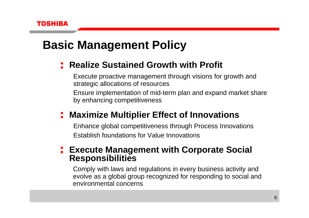# **Basic Management Policy**

### **Fig. 2** Realize Sustained Growth with Profit

Execute proactive management through visions for growth and strategic allocations of resources Ensure implementation of mid-term plan and expand market share by enhancing competitiveness

### **Maximize Multiplier Effect of Innovations**

Enhance global competitiveness through Process Innovations Establish foundations for Value Innovations

### **Execute Management with Corporate Social Responsibilities**

Comply with laws and regulations in every business activity and evolve as a global group recognized for responding to social and environmental concerns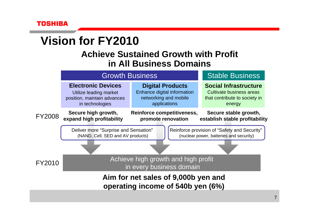# **Vision for FY2010**

### **Achieve Sustained Growth with Profit in All Business Domains**

|                                                                          | <b>Growth Business</b>                                                                                |                                                                                                 | <b>Stable Business</b>                                                                              |
|--------------------------------------------------------------------------|-------------------------------------------------------------------------------------------------------|-------------------------------------------------------------------------------------------------|-----------------------------------------------------------------------------------------------------|
|                                                                          | <b>Electronic Devices</b><br>Utilize leading market<br>position, maintain advances<br>in technologies | <b>Digital Products</b><br>Enhance digital information<br>networking and mobile<br>applications | <b>Social Infrastructure</b><br>Cultivate business areas<br>that contribute to society in<br>energy |
| FY2008                                                                   | Secure high growth,<br>expand high profitability                                                      | Reinforce competitiveness,<br>promote renovation                                                | Secure stable growth,<br>establish stable profitability                                             |
|                                                                          | Deliver more "Surprise and Sensation"<br>(NAND, Cell, SED and AV products)                            |                                                                                                 | Reinforce provision of "Safety and Security"<br>(nuclear power, batteries and security)             |
|                                                                          |                                                                                                       |                                                                                                 |                                                                                                     |
| FY2010                                                                   | Achieve high growth and high profit<br>in every business domain                                       |                                                                                                 |                                                                                                     |
| Aim for net sales of 9,000b yen and<br>operating income of 540b yen (6%) |                                                                                                       |                                                                                                 |                                                                                                     |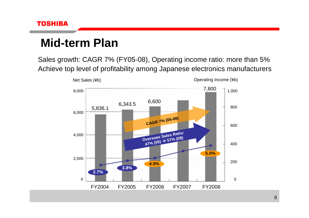# **Mid-term Plan**

Sales growth: CAGR 7% (FY05-08), Operating income ratio: more than 5% Achieve top level of profitability among Japanese electronics manufacturers

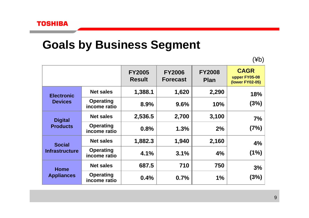### **Goals by Business Segment**

(¥b)

|                                        |                                  | <b>FY2005</b><br><b>Result</b> | <b>FY2006</b><br><b>Forecast</b> | <b>FY2008</b><br><b>Plan</b> | <b>CAGR</b><br>upper FY05-08<br>(lower FY02-05) |
|----------------------------------------|----------------------------------|--------------------------------|----------------------------------|------------------------------|-------------------------------------------------|
| <b>Electronic</b><br><b>Devices</b>    | <b>Net sales</b>                 | 1,388.1                        | 1,620                            | 2,290                        | 18%                                             |
|                                        | <b>Operating</b><br>income ratio | 8.9%                           | 9.6%                             | 10%                          | (3%)                                            |
| <b>Digital</b><br><b>Products</b>      | <b>Net sales</b>                 | 2,536.5                        | 2,700                            | 3,100                        | 7%                                              |
|                                        | <b>Operating</b><br>income ratio | 0.8%                           | 1.3%                             | 2%                           | (7%)                                            |
| <b>Social</b><br><b>Infrastructure</b> | <b>Net sales</b>                 | 1,882.3                        | 1,940                            | 2,160                        | 4%                                              |
|                                        | <b>Operating</b><br>income ratio | 4.1%                           | 3.1%                             | 4%                           | (1%)                                            |
| <b>Home</b><br><b>Appliances</b>       | <b>Net sales</b>                 | 687.5                          | 710                              | 750                          | 3%                                              |
|                                        | <b>Operating</b><br>income ratio | 0.4%                           | 0.7%                             | 1%                           | (3%)                                            |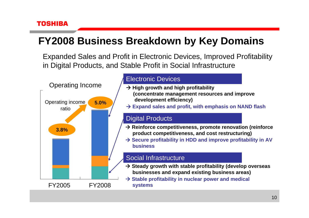### **FY2008 Business Breakdown by Key Domains**

Expanded Sales and Profit in Electronic Devices, Improved Profitability in Digital Products, and Stable Profit in Social Infrastructure

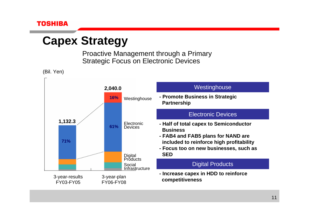# **Capex Strategy**

Proactive Management through a Primary Strategic Focus on Electronic Devices

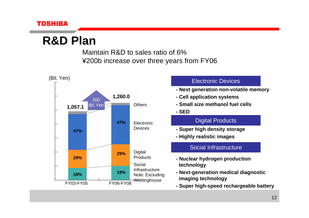

## **R&D Plan**

Maintain R&D to sales ratio of 6% ¥200b increase over three years from FY06

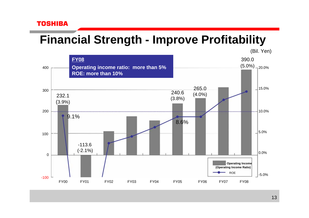# **Financial Strength - Improve Profitability**



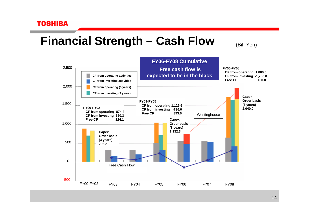# **Financial Strength – Cash Flow**

(Bil. Yen)

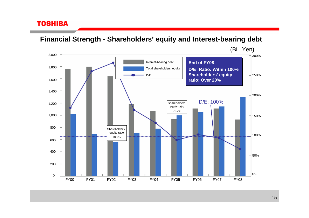**Financial Strength - Shareholders' equity and Interest-bearing debt**

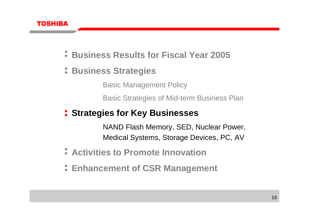

- **Business Results for Fiscal Year 2005**
- **E** Business Strategies

Basic Management Policy

Basic Strategies of Mid-term Business Plan

**Fig. 3 Strategies for Key Businesses** 

NAND Flash Memory, SED, Nuclear Power, Medical Systems, Storage Devices, PC, AV

- **Activities to Promote Innovation**
- **Enhancement of CSR Management**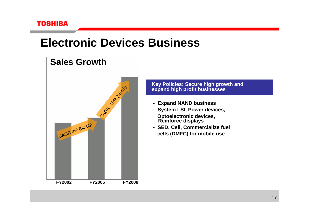### **Electronic Devices Business**

### **Sales Growth**



# **18% (18% Key Policies: Secure high growth and<br>
28% (18% expand high profit businesses<br>
18% - Expand NAND business**

- **- Expand NAND business**
- **- System LSI, Power devices, Optoelectronic devices, Reinforce displays**
- **- SED, Cell, Commercialize fuel cells (DMFC) for mobile use**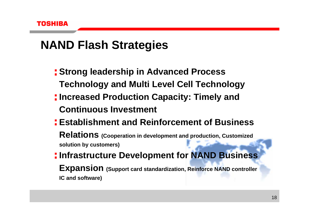# **NAND Flash Strategies**

- **Strong leadership in Advanced Process Technology and Multi Level Cell Technology**
- **Increased Production Capacity: Timely and Continuous Investment**
- **Establishment and Reinforcement of Business**

**Relations (Cooperation in development and production, Customized solution by customers)**

**Infrastructure Development for NAND Business Expansion (Support card standardization, Reinforce NAND controller IC and software)**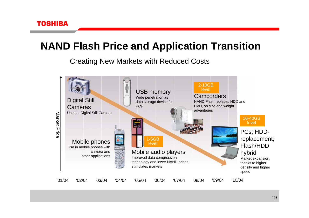### **NAND Flash Price and Application Transition**

Creating New Markets with Reduced Costs

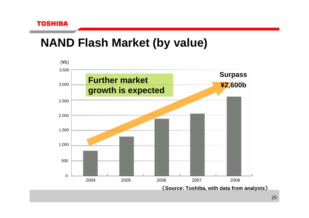

# **NAND Flash Market (by value)**

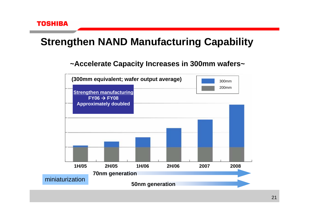

### **Strengthen NAND Manufacturing Capability**

#### **~Accelerate Capacity Increases in 300mm wafers~**

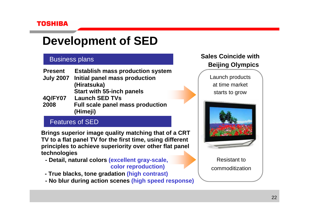# **Development of SED**

#### Business plans

| <b>Present</b>   | <b>Establish mass production system</b> |
|------------------|-----------------------------------------|
| <b>July 2007</b> | Initial panel mass production           |
|                  | (Hiratsuka)                             |
|                  | <b>Start with 55-inch panels</b>        |
| <b>4Q/FY07</b>   | <b>Launch SED TVs</b>                   |
| 2008             | <b>Full scale panel mass production</b> |
|                  | (Himeji)                                |

#### Features of SED

**Brings superior image quality matching that of a CRT TV to a flat panel TV for the first time, using different principles to achieve superiority over other flat panel technologies**

**- Detail, natural colors (excellent gray-scale,** 

**color reproduction)**

- **- True blacks, tone gradation (high contrast)**
- **- No blur during action scenes (high speed response)**

#### **Sales Coincide with Beijing Olympics**

Launch products at time market starts to grow



Resistant to commoditization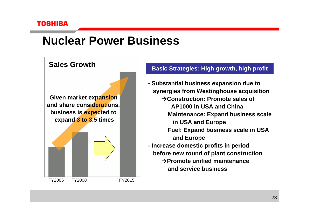FY2005

# **Nuclear Power Business**

### **Sales Growth**



FY2008 FY2015

#### **Basic Strategies: High growth, high profit**

- **- Substantial business expansion due to synergies from Westinghouse acquisition** Æ**Construction: Promote sales of AP1000 in USA and ChinaMaintenance: Expand business scale in USA and Europe Fuel: Expand business scale in USA and Europe - Increase domestic profits in period before new round of plant construction** 
	- $→$ **Promote unified maintenance and service business**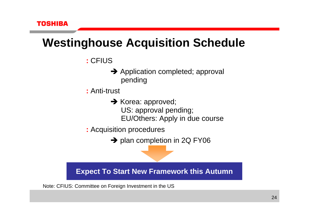# **Westinghouse Acquisition Schedule**

- **:** CFIUS
	- $\rightarrow$  Application completed; approval pending
- **:** Anti-trust
	- $\rightarrow$  Korea: approved; US: approval pending; EU/Others: Apply in due course
- **:** Acquisition procedures
	- $\rightarrow$  plan completion in 2Q FY06

**Expect To Start New Framework this Autumn**

Note: CFIUS: Committee on Foreign Investment in the US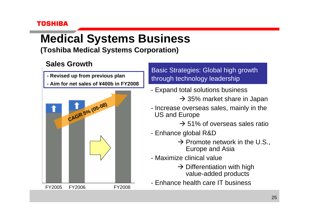# **Medical Systems Business**

**(Toshiba Medical Systems Corporation)**

### **Sales Growth**

- **- Revised up from previous plan**
- **- Aim for net sales of ¥400b in FY2008**



Basic Strategies: Global high growth through technology leadership

- Expand total solutions business
	- $\rightarrow$  35% market share in Japan
- Increase overseas sales, mainly in the US and Europe

 $\rightarrow$  51% of overseas sales ratio

- Enhance global R&D
	- $\rightarrow$  Promote network in the U.S., Europe and Asia
- Maximize clinical value
	- $\rightarrow$  Differentiation with high value-added products
- Enhance health care IT business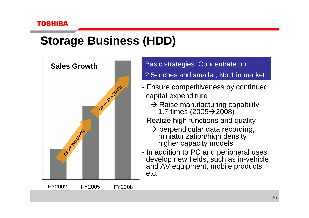# **Storage Business (HDD)**



Basic strategies: Concentrate on 2.5-inches and smaller; No.1 in market

- Ensure competitiveness by continued capital expenditure
	- $\rightarrow$  Raise manufacturing capability 1.7 times  $(2005 \rightarrow 2008)$
- - Realize high functions and quality
	- $\rightarrow$  perpendicular data recording, miniaturization/high density higher capacity models
- In addition to PC and peripheral uses, develop new fields, such as in-vehicle and AV equipment, mobile products, etc.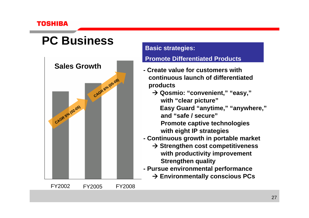# **PC Business**



#### **Basic strategies:**

#### **Promote Differentiated Products**

- **- Create value for customers withcontinuous launch of differentiatedproducts**
	- Æ **Qosmio: "convenient," "easy," with "clear picture" Easy Guard "anytime," "anywhere," and "safe / secure"Promote captive technologies with eight IP strategies**
- **- Continuous growth in portable market**
	- Æ **Strengthen cost competitiveness with productivity improvement Strengthen quality**
- **- Pursue environmental performance**
	- Æ **Environmentally conscious PCs**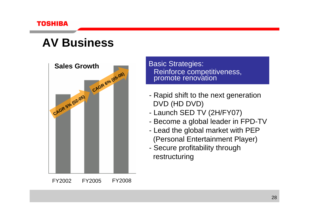

### **AV Business**



Basic Strategies: Reinforce competitiveness, promote renovation

- Rapid shift to the next generation DVD (HD DVD)
- Launch SED TV (2H/FY07)
- Become a global leader in FPD-TV
- Lead the global market with PEP (Personal Entertainment Player)
- Secure profitability through restructuring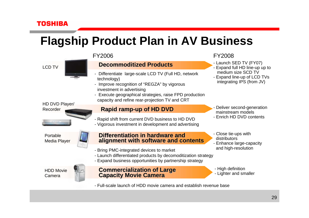# **Flagship Product Plan in AV Business**

#### LCD TV



#### HD DVD Player/ Recorder



Portable Media Player



#### FY2006

#### 06年度 **Decommoditized Decommoditized Products Products**

- Differentiate large-scale LCD TV (Full HD, network technology)
- Improve recognition of "REGZA" by vigorous investment in advertising
- Execute geographical strategies, raise FPD production capacity and refine rear-projection TV and CRT

#### **Rapid ramp-up of HD DVD**

- Rapid shift from current DVD business to HD DVD
- Vigorous investment in development and advertising

**Differentiation in hardware and alignment with software and contents alignment with software and contents**

- Bring PMC-integrated devices to market
- Launch differentiated products by decomoditization strategy
- Expand business opportunities by partnership strategy

HDD Movie Camera



#### FY2008

- Launch SED TV (FY07)
- Expand full HD line-up up to medium size SCD TV
- Expand line-up of LCD TVs integrating IPS (from JV)

- - Deliver second-generation mainstream models
- Enrich HD DVD contents
- Close tie-ups with distributors
- Enhance large-capacity and high-resolution
- High definition
- Lighter and smaller
- Full-scale launch of HDD movie camera and establish revenue base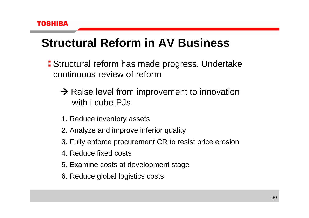# **Structural Reform in AV Business**

- Structural reform has made progress. Undertake continuous review of reform
	- $\rightarrow$  Raise level from improvement to innovation with i cube PJs
	- 1. Reduce inventory assets
	- 2. Analyze and improve inferior quality
	- 3. Fully enforce procurement CR to resist price erosion
	- 4. Reduce fixed costs
	- 5. Examine costs at development stage
	- 6. Reduce global logistics costs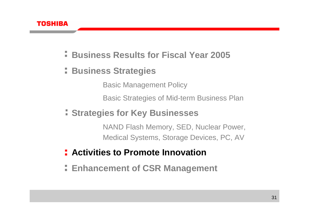

- **Business Results for Fiscal Year 2005**
- **E** Business Strategies

Basic Management Policy

Basic Strategies of Mid-term Business Plan

**Strategies for Key Businesses**

NAND Flash Memory, SED, Nuclear Power, Medical Systems, Storage Devices, PC, AV

- **Activities to Promote Innovation**
- **Enhancement of CSR Management**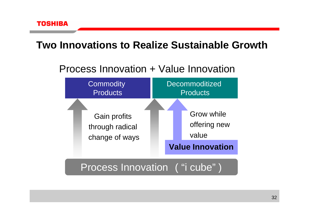### **Two Innovations to Realize Sustainable Growth**

### Process Innovation + Value Innovation



### Process Innovation ( "i cube" )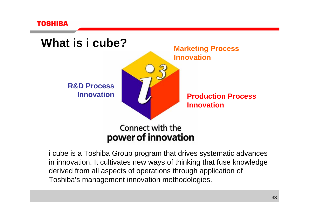



i cube is a Toshiba Group program that drives systematic advances in innovation. It cultivates new ways of thinking that fuse knowledge derived from all aspects of operations through application of Toshiba's management innovation methodologies.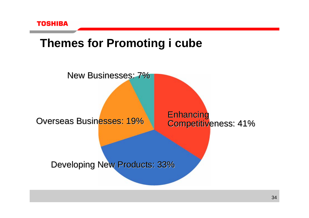

### **Themes for Promoting i cube**

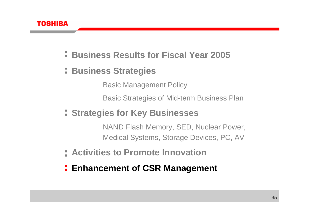

- **Business Results for Fiscal Year 2005**
- **E** Business Strategies

Basic Management Policy

Basic Strategies of Mid-term Business Plan

**Strategies for Key Businesses**

NAND Flash Memory, SED, Nuclear Power, Medical Systems, Storage Devices, PC, AV

- **Activities to Promote Innovation**
- **Enhancement of CSR Management**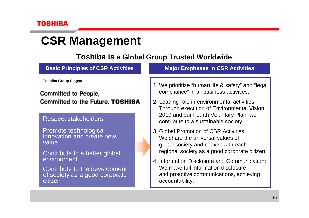citizen

## **CSR Management**

#### **Toshiba is a Global Group Trusted Worldwide**

**Basic Principles of CSR Activities Major Emphases in CSR Activities Toshiba Group Slogan** 1. We prioritize "human life & safety" and "legal compliance" in all business activities. **Committed to People, Committed to the Future. TOSHIBA** 2. Leading role in environmental activities: Through execution of Environmental Vision 2010 and our Fourth Voluntary Plan, we Respect stakeholders contribute to a sustainable society. Promote technological 3. Global Promotion of CSR Activities:innovation and create new We share the universal values of valueglobal society and coexist with each regional society as a good corporate citizen. Contribute to a better global environment4. Information Disclosure and Communication:We make full information disclosure Contribute to the development and proactive communications, achieving of society as a good corporate

accountability.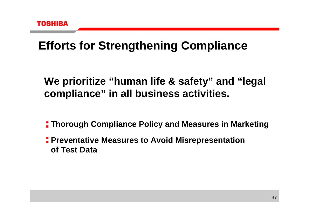# **Efforts for Strengthening Compliance**

### **We prioritize "human life & safety" and "legal compliance" in all business activities.**

**Thorough Compliance Policy and Measures in Marketing**

**Preventative Measures to Avoid Misrepresentation of Test Data**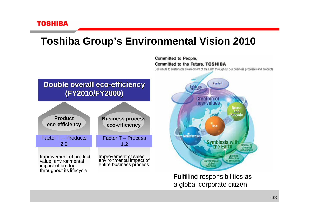### **Toshiba Group's Environmental Vision 2010**

**Committed to People. Committed to the Future, TOSHIBA** 

Contribute to sustainable development of the Earth throughout our business processes and products

#### **Double overall eco Double overall eco-efficiency efficiency (FY2010/FY2000) (FY2010/FY2000)**

| <b>Product</b>             | <b>Business process</b>   |
|----------------------------|---------------------------|
| eco-efficiency             | eco-efficiency            |
| <b>Factor T – Products</b> | <b>Factor T - Process</b> |
| 2.2                        | 1.2                       |
| Improvement of product     | Improvement of sales,     |

value, environmental impact of product throughout its lifecycle

⋝

environmental impact of<br>entire business process



Fulfilling responsibilities as a global corporate citizen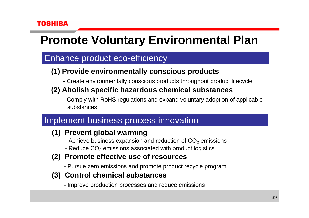# **Promote Voluntary Environmental Plan**

### Enhance product eco-efficiency

### **(1) Provide environmentally conscious products**

- Create environmentally conscious products throughout product lifecycle

### **(2) Abolish specific hazardous chemical substances**

- Comply with RoHS regulations and expand voluntary adoption of applicable substances

### Implement business process innovation

### **(1) Prevent global warming**

- Achieve business expansion and reduction of  $\mathsf{CO}_2$  emissions
- Reduce CO $_2$  emissions associated with product logistics
- **(2) Promote effective use of resources**
	- Pursue zero emissions and promote product recycle program
- **(3) Control chemical substances**
	- Improve production processes and reduce emissions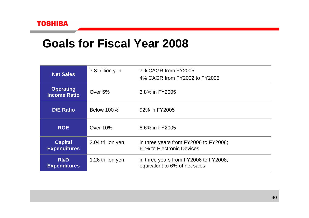### **Goals for Fiscal Year 2008**

| <b>Net Sales</b>                        | 7.8 trillion yen  | 7% CAGR from FY2005<br>4% CAGR from FY2002 to FY2005                   |
|-----------------------------------------|-------------------|------------------------------------------------------------------------|
| <b>Operating</b><br><b>Income Ratio</b> | Over 5%           | 3.8% in FY2005                                                         |
| <b>D/E Ratio</b>                        | <b>Below 100%</b> | 92% in FY2005                                                          |
| <b>ROE</b>                              | Over 10%          | 8.6% in FY2005                                                         |
| <b>Capital</b><br><b>Expenditures</b>   | 2.04 trillion yen | in three years from FY2006 to FY2008;<br>61% to Electronic Devices     |
| R&D<br><b>Expenditures</b>              | 1.26 trillion yen | in three years from FY2006 to FY2008;<br>equivalent to 6% of net sales |